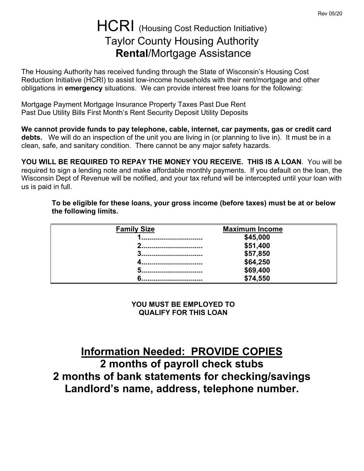# HCRI (Housing Cost Reduction Initiative) Taylor County Housing Authority **Rental**/Mortgage Assistance

The Housing Authority has received funding through the State of Wisconsin's Housing Cost Reduction Initiative (HCRI) to assist low-income households with their rent/mortgage and other obligations in **emergency** situations. We can provide interest free loans for the following:

Mortgage Payment Mortgage Insurance Property Taxes Past Due Rent Past Due Utility Bills First Month's Rent Security Deposit Utility Deposits

**We cannot provide funds to pay telephone, cable, internet, car payments, gas or credit card debts.** We will do an inspection of the unit you are living in (or planning to live in). It must be in a clean, safe, and sanitary condition. There cannot be any major safety hazards.

**YOU WILL BE REQUIRED TO REPAY THE MONEY YOU RECEIVE. THIS IS A LOAN**. You will be required to sign a lending note and make affordable monthly payments. If you default on the loan, the Wisconsin Dept of Revenue will be notified, and your tax refund will be intercepted until your loan with us is paid in full.

**To be eligible for these loans, your gross income (before taxes) must be at or below the following limits.**

| <b>Family Size</b> | <b>Maximum Income</b> |  |
|--------------------|-----------------------|--|
|                    | \$45,000              |  |
| ◠<br>              | \$51,400              |  |
| m                  | \$57,850              |  |
|                    | \$64,250              |  |
|                    | \$69,400              |  |
|                    | \$74,550              |  |

**YOU MUST BE EMPLOYED TO QUALIFY FOR THIS LOAN**

**Information Needed: PROVIDE COPIES 2 months of payroll check stubs 2 months of bank statements for checking/savings Landlord's name, address, telephone number.**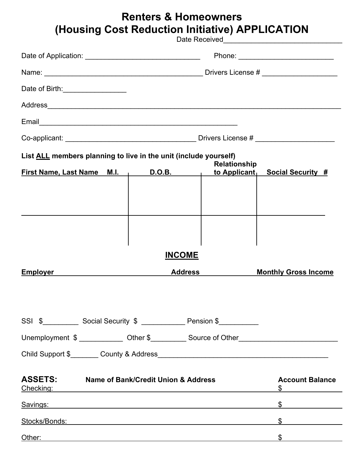## **Renters & Homeowners (Housing Cost Reduction Initiative) APPLICATION**

Date Received

| Date of Birth: ___________________                                                                            |                                                                                                                                                                                                                                                                                           |               |                |                     |                                                                                     |  |
|---------------------------------------------------------------------------------------------------------------|-------------------------------------------------------------------------------------------------------------------------------------------------------------------------------------------------------------------------------------------------------------------------------------------|---------------|----------------|---------------------|-------------------------------------------------------------------------------------|--|
|                                                                                                               |                                                                                                                                                                                                                                                                                           |               |                |                     |                                                                                     |  |
|                                                                                                               |                                                                                                                                                                                                                                                                                           |               |                |                     |                                                                                     |  |
|                                                                                                               |                                                                                                                                                                                                                                                                                           |               |                |                     |                                                                                     |  |
| List ALL members planning to live in the unit (include yourself)                                              |                                                                                                                                                                                                                                                                                           |               |                | <b>Relationship</b> |                                                                                     |  |
| <b>First Name, Last Name M.I.</b>                                                                             |                                                                                                                                                                                                                                                                                           | <u>D.O.B.</u> |                | to Applicant        | <b>Social Security #</b>                                                            |  |
|                                                                                                               |                                                                                                                                                                                                                                                                                           |               |                |                     |                                                                                     |  |
|                                                                                                               |                                                                                                                                                                                                                                                                                           |               | <b>INCOME</b>  |                     |                                                                                     |  |
| <b>Employer</b>                                                                                               |                                                                                                                                                                                                                                                                                           |               | <b>Address</b> |                     | <b>Monthly Gross Income</b>                                                         |  |
| SSI \$_____________ Social Security \$ _______________ Pension \$____________                                 |                                                                                                                                                                                                                                                                                           |               |                |                     | Unemployment \$ _____________ Other \$___________ Source of Other__________________ |  |
|                                                                                                               |                                                                                                                                                                                                                                                                                           |               |                |                     |                                                                                     |  |
|                                                                                                               | <b>ASSETS:</b> Name of Bank/Credit Union & Address<br><u>Checking:</u> example and the contract of the contract of the contract of the contract of the contract of the contract of the contract of the contract of the contract of the contract of the contract of the contract of the co |               |                |                     | <b>Account Balance</b>                                                              |  |
| Savings: example of the same state of the same state of the same state of the same state of the same state of |                                                                                                                                                                                                                                                                                           |               |                |                     | $\frac{1}{2}$                                                                       |  |
| <u>Stocks/Bonds: Engineering</u>                                                                              |                                                                                                                                                                                                                                                                                           |               |                |                     | $\frac{1}{2}$                                                                       |  |
|                                                                                                               |                                                                                                                                                                                                                                                                                           |               |                |                     | $\frac{1}{2}$                                                                       |  |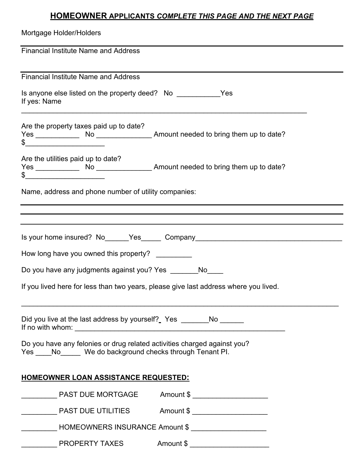### **HOMEOWNER APPLICANTS** *COMPLETE THIS PAGE AND THE NEXT PAGE*

| Mortgage Holder/Holders                                                                                                                                                                                                                                                                                                                                |
|--------------------------------------------------------------------------------------------------------------------------------------------------------------------------------------------------------------------------------------------------------------------------------------------------------------------------------------------------------|
| <b>Financial Institute Name and Address</b>                                                                                                                                                                                                                                                                                                            |
| <b>Financial Institute Name and Address</b>                                                                                                                                                                                                                                                                                                            |
| If yes: Name                                                                                                                                                                                                                                                                                                                                           |
| Are the property taxes paid up to date?<br>$\frac{1}{2}$                                                                                                                                                                                                                                                                                               |
| Are the utilities paid up to date?<br>$\frac{1}{2}$                                                                                                                                                                                                                                                                                                    |
| Name, address and phone number of utility companies:                                                                                                                                                                                                                                                                                                   |
| ,我们也不会有什么。""我们的人,我们也不会有什么?""我们的人,我们也不会有什么?""我们的人,我们也不会有什么?""我们的人,我们也不会有什么?""我们的人                                                                                                                                                                                                                                                                       |
| Is your home insured? No______Yes_______ Company________________________________                                                                                                                                                                                                                                                                       |
| How long have you owned this property? _________                                                                                                                                                                                                                                                                                                       |
| Do you have any judgments against you? Yes ________No____                                                                                                                                                                                                                                                                                              |
| If you lived here for less than two years, please give last address where you lived.                                                                                                                                                                                                                                                                   |
| Did you live at the last address by yourself? Yes ________No ______<br>If no with whom: $\sqrt{2}$ (1) $\sqrt{2}$ (1) $\sqrt{2}$ (1) $\sqrt{2}$ (1) $\sqrt{2}$ (1) $\sqrt{2}$ (1) $\sqrt{2}$ (1) $\sqrt{2}$ (1) $\sqrt{2}$ (1) $\sqrt{2}$ (1) $\sqrt{2}$ (1) $\sqrt{2}$ (1) $\sqrt{2}$ (1) $\sqrt{2}$ (1) $\sqrt{2}$ (1) $\sqrt{2}$ (1) $\sqrt{2}$ (1) |
| Do you have any felonies or drug related activities charged against you?<br>Yes _____ No ______ We do background checks through Tenant PI.                                                                                                                                                                                                             |
| <b>HOMEOWNER LOAN ASSISTANCE REQUESTED:</b>                                                                                                                                                                                                                                                                                                            |
|                                                                                                                                                                                                                                                                                                                                                        |
| PAST DUE UTILITIES Amount \$                                                                                                                                                                                                                                                                                                                           |
| HOMEOWNERS INSURANCE Amount \$                                                                                                                                                                                                                                                                                                                         |
|                                                                                                                                                                                                                                                                                                                                                        |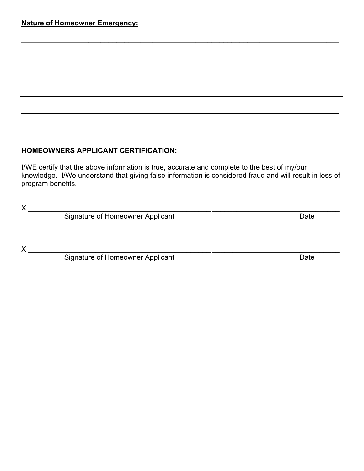#### **HOMEOWNERS APPLICANT CERTIFICATION:**

I/WE certify that the above information is true, accurate and complete to the best of my/our knowledge. I/We understand that giving false information is considered fraud and will result in loss of program benefits.

**\_\_\_\_\_\_\_\_\_\_\_\_\_\_\_\_\_\_\_\_\_\_\_\_\_\_\_\_\_\_\_\_\_\_\_\_\_\_\_\_\_\_\_\_\_\_\_\_\_\_\_\_\_\_\_\_\_\_\_\_\_\_\_\_\_\_\_\_\_\_\_\_\_\_\_\_\_\_\_\_**

**\_\_\_\_\_\_\_\_\_\_\_\_\_\_\_\_\_\_\_\_\_\_\_\_\_\_\_\_\_\_\_\_\_\_\_\_\_\_\_\_\_\_\_\_\_\_\_\_\_\_\_\_\_\_\_\_\_\_\_\_\_\_\_\_\_\_\_\_\_\_\_\_\_\_\_\_\_\_\_\_**

X<br>Signature of Homeowner Applicant<br>Date Signature of Homeowner Applicant

X \_\_\_\_\_\_\_\_\_\_\_\_\_\_\_\_\_\_\_\_\_\_\_\_\_\_\_\_\_\_\_\_\_\_\_\_\_\_\_\_\_\_\_\_\_\_ \_\_\_\_\_\_\_\_\_\_\_\_\_\_\_\_\_\_\_\_\_\_\_\_\_\_\_\_\_\_\_\_

Signature of Homeowner Applicant Date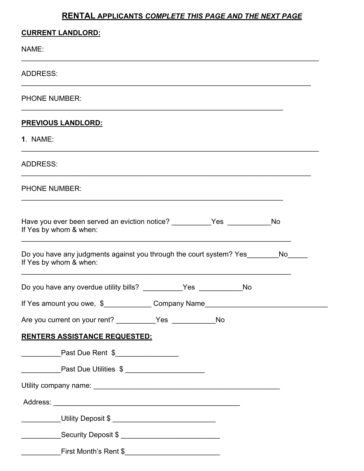### **RENTAL APPLICANTS** *COMPLETE THIS PAGE AND THE NEXT PAGE*

| <b>CURRENT LANDLORD:</b>                                                                               |  |    |    |
|--------------------------------------------------------------------------------------------------------|--|----|----|
| NAME:                                                                                                  |  |    |    |
| <b>ADDRESS:</b>                                                                                        |  |    |    |
| <b>PHONE NUMBER:</b>                                                                                   |  |    |    |
| <u>PREVIOUS LANDLORD:</u>                                                                              |  |    |    |
| <b>1. NAME:</b>                                                                                        |  |    |    |
| <b>ADDRESS:</b>                                                                                        |  |    |    |
| <b>PHONE NUMBER:</b>                                                                                   |  |    |    |
| Have you ever been served an eviction notice? ___________Yes _____________No<br>If Yes by whom & when: |  |    |    |
| Do you have any judgments against you through the court system? Yes<br>If Yes by whom & when:          |  |    | No |
| Do you have any overdue utility bills? ___________Yes ____________                                     |  | No |    |
| If Yes amount you owe, \$_______________Company Name_____________________________                      |  |    |    |
| Are you current on your rent? __________Yes ____________No                                             |  |    |    |
| <b>RENTERS ASSISTANCE REQUESTED:</b>                                                                   |  |    |    |
|                                                                                                        |  |    |    |
| _______________Past Due Utilities \$ _________________________                                         |  |    |    |
|                                                                                                        |  |    |    |
|                                                                                                        |  |    |    |
|                                                                                                        |  |    |    |
| ____________Security Deposit \$ ______________________________                                         |  |    |    |
|                                                                                                        |  |    |    |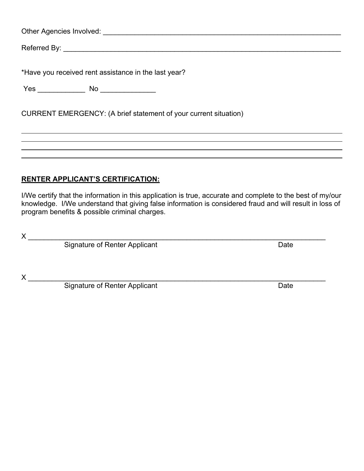Other Agencies Involved: \_\_\_\_\_\_\_\_\_\_\_\_\_\_\_\_\_\_\_\_\_\_\_\_\_\_\_\_\_\_\_\_\_\_\_\_\_\_\_\_\_\_\_\_\_\_\_\_\_\_\_\_\_\_\_\_\_\_\_\_

Referred By: \_\_\_\_\_\_\_\_\_\_\_\_\_\_\_\_\_\_\_\_\_\_\_\_\_\_\_\_\_\_\_\_\_\_\_\_\_\_\_\_\_\_\_\_\_\_\_\_\_\_\_\_\_\_\_\_\_\_\_\_\_\_\_\_\_\_\_\_\_\_

\*Have you received rent assistance in the last year?

Yes \_\_\_\_\_\_\_\_\_\_\_\_ No \_\_\_\_\_\_\_\_\_\_\_\_\_\_

CURRENT EMERGENCY: (A brief statement of your current situation)

#### **RENTER APPLICANT'S CERTIFICATION:**

I/We certify that the information in this application is true, accurate and complete to the best of my/our knowledge. I/We understand that giving false information is considered fraud and will result in loss of program benefits & possible criminal charges.

X \_\_\_\_\_\_\_\_\_\_\_\_\_\_\_\_\_\_\_\_\_\_\_\_\_\_\_\_\_\_\_\_\_\_\_\_\_\_\_\_\_\_\_\_\_\_\_\_\_\_\_\_\_\_\_\_\_\_\_\_\_\_\_\_\_\_\_\_\_\_\_\_\_\_\_

Signature of Renter Applicant **Date** Date

X \_\_\_\_\_\_\_\_\_\_\_\_\_\_\_\_\_\_\_\_\_\_\_\_\_\_\_\_\_\_\_\_\_\_\_\_\_\_\_\_\_\_\_\_\_\_\_\_\_\_\_\_\_\_\_\_\_\_\_\_\_\_\_\_\_\_\_\_\_\_\_\_\_\_\_

Signature of Renter Applicant Date Controller and Date Date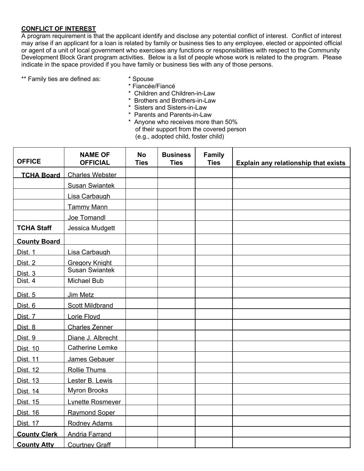#### **CONFLICT OF INTEREST**

A program requirement is that the applicant identify and disclose any potential conflict of interest. Conflict of interest may arise if an applicant for a loan is related by family or business ties to any employee, elected or appointed official or agent of a unit of local government who exercises any functions or responsibilities with respect to the Community Development Block Grant program activities. Below is a list of people whose work is related to the program. Please indicate in the space provided if you have family or business ties with any of those persons.

- \*\* Family ties are defined as: <br> \* Spouse
	- \* Fiancée/Fiancé
		- \* Children and Children-in-Law
		- \* Brothers and Brothers-in-Law
		- \* Sisters and Sisters-in-Law
		- \* Parents and Parents-in-Law
		- \* Anyone who receives more than 50% of their support from the covered person (e.g., adopted child, foster child)

| <b>OFFICE</b>       | <b>NAME OF</b><br><b>OFFICIAL</b> | <b>No</b><br><b>Ties</b> | <b>Business</b><br><b>Ties</b> | <b>Family</b><br><b>Ties</b> | Explain any relationship that exists |
|---------------------|-----------------------------------|--------------------------|--------------------------------|------------------------------|--------------------------------------|
| <b>TCHA Board</b>   | <b>Charles Webster</b>            |                          |                                |                              |                                      |
|                     | <b>Susan Swiantek</b>             |                          |                                |                              |                                      |
|                     | Lisa Carbaugh                     |                          |                                |                              |                                      |
|                     | <b>Tammy Mann</b>                 |                          |                                |                              |                                      |
|                     | Joe Tomandl                       |                          |                                |                              |                                      |
| <b>TCHA Staff</b>   | Jessica Mudgett                   |                          |                                |                              |                                      |
| <b>County Board</b> |                                   |                          |                                |                              |                                      |
| Dist. 1             | Lisa Carbaugh                     |                          |                                |                              |                                      |
| Dist. 2             | <b>Gregory Knight</b>             |                          |                                |                              |                                      |
| Dist. 3             | <b>Susan Swiantek</b>             |                          |                                |                              |                                      |
| Dist. 4             | <b>Michael Bub</b>                |                          |                                |                              |                                      |
| Dist. <sub>5</sub>  | Jim Metz                          |                          |                                |                              |                                      |
| Dist. 6             | <b>Scott Mildbrand</b>            |                          |                                |                              |                                      |
| Dist. 7             | Lorie Floyd                       |                          |                                |                              |                                      |
| Dist. 8             | <b>Charles Zenner</b>             |                          |                                |                              |                                      |
| Dist. 9             | Diane J. Albrecht                 |                          |                                |                              |                                      |
| <b>Dist. 10</b>     | <b>Catherine Lemke</b>            |                          |                                |                              |                                      |
| <b>Dist. 11</b>     | James Gebauer                     |                          |                                |                              |                                      |
| <b>Dist. 12</b>     | <b>Rollie Thums</b>               |                          |                                |                              |                                      |
| <b>Dist. 13</b>     | Lester B. Lewis                   |                          |                                |                              |                                      |
| <b>Dist. 14</b>     | <b>Myron Brooks</b>               |                          |                                |                              |                                      |
| Dist. 15            | Lynette Rosmeyer                  |                          |                                |                              |                                      |
| <b>Dist. 16</b>     | <b>Raymond Soper</b>              |                          |                                |                              |                                      |
| <b>Dist. 17</b>     | <b>Rodney Adams</b>               |                          |                                |                              |                                      |
| <b>County Clerk</b> | Andria Farrand                    |                          |                                |                              |                                      |
| <b>County Atty</b>  | <b>Courtney Graff</b>             |                          |                                |                              |                                      |